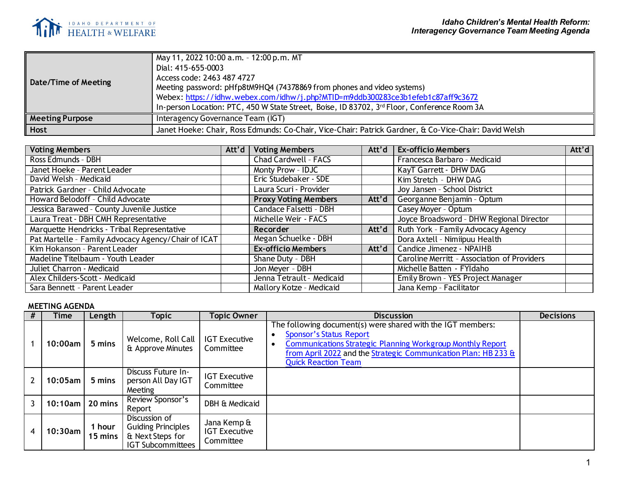

| Date/Time of Meeting   | May 11, 2022 10:00 a.m. - 12:00 p.m. MT<br>Dial: 415-655-0003<br>Access code: 2463 487 4727<br>Meeting password: pHfp8tM9HQ4 (74378869 from phones and video systems)<br>Webex: https://idhw.webex.com/idhw/j.php?MTID=m9ddb300283ce3b1efeb1c87aff9c3672<br>In-person Location: PTC, 450 W State Street, Boise, ID 83702, 3rd Floor, Conference Room 3A |
|------------------------|---------------------------------------------------------------------------------------------------------------------------------------------------------------------------------------------------------------------------------------------------------------------------------------------------------------------------------------------------------|
| <b>Meeting Purpose</b> | Interagency Governance Team (IGT)                                                                                                                                                                                                                                                                                                                       |
| Host                   | Janet Hoeke: Chair, Ross Edmunds: Co-Chair, Vice-Chair: Patrick Gardner, & Co-Vice-Chair: David Welsh                                                                                                                                                                                                                                                   |

| <b>Voting Members</b>                               | Att'd | <b>Voting Members</b>       | Att'd | <b>Ex-officio Members</b>                   | Att'd |
|-----------------------------------------------------|-------|-----------------------------|-------|---------------------------------------------|-------|
| Ross Edmunds - DBH                                  |       | <b>Chad Cardwell - FACS</b> |       | Francesca Barbaro - Medicaid                |       |
| Janet Hoeke - Parent Leader                         |       | Monty Prow - IDJC           |       | KayT Garrett - DHW DAG                      |       |
| David Welsh - Medicaid                              |       | Eric Studebaker - SDE       |       | Kim Stretch - DHW DAG                       |       |
| Patrick Gardner - Child Advocate                    |       | Laura Scuri - Provider      |       | Joy Jansen - School District                |       |
| Howard Belodoff - Child Advocate                    |       | <b>Proxy Voting Members</b> | Att'd | Georganne Benjamin - Optum                  |       |
| Jessica Barawed - County Juvenile Justice           |       | Candace Falsetti - DBH      |       | Casey Moyer - Optum                         |       |
| Laura Treat - DBH CMH Representative                |       | Michelle Weir - FACS        |       | Joyce Broadsword - DHW Regional Director    |       |
| Marquette Hendricks - Tribal Representative         |       | Recorder                    | Att'd | Ruth York - Family Advocacy Agency          |       |
| Pat Martelle - Family Advocacy Agency/Chair of ICAT |       | Megan Schuelke - DBH        |       | Dora Axtell - Nimiipuu Health               |       |
| Kim Hokanson - Parent Leader                        |       | <b>Ex-officio Members</b>   | Att'd | Candice Jimenez - NPAIHB                    |       |
| Madeline Titelbaum - Youth Leader                   |       | Shane Duty - DBH            |       | Caroline Merritt - Association of Providers |       |
| Juliet Charron - Medicaid                           |       | Jon Meyer - DBH             |       | Michelle Batten - FYIdaho                   |       |
| Alex Childers-Scott - Medicaid                      |       | Jenna Tetrault - Medicaid   |       | Emily Brown - YES Project Manager           |       |
| Sara Bennett - Parent Leader                        |       | Mallory Kotze - Medicaid    |       | Jana Kemp - Facilitator                     |       |

## **MEETING AGENDA**

| # | Time       | Length            | Topic                                                                                      | Topic Owner                                      | <b>Discussion</b>                                                                                                                                                                                                                                                  | <b>Decisions</b> |
|---|------------|-------------------|--------------------------------------------------------------------------------------------|--------------------------------------------------|--------------------------------------------------------------------------------------------------------------------------------------------------------------------------------------------------------------------------------------------------------------------|------------------|
|   | 10:00am l  | 5 mins            | Welcome, Roll Call<br>& Approve Minutes                                                    | <b>IGT Executive</b><br>Committee                | The following document(s) were shared with the IGT members:<br><b>Sponsor's Status Report</b><br><b>Communications Strategic Planning Workgroup Monthly Report</b><br>from April 2022 and the Strategic Communication Plan: HB 233 &<br><b>Quick Reaction Team</b> |                  |
|   | $10:05$ am | 5 mins            | Discuss Future In-<br>person All Day IGT<br>Meeting                                        | <b>IGT Executive</b><br>Committee                |                                                                                                                                                                                                                                                                    |                  |
|   | $10:10$ am | 20 mins           | Review Sponsor's<br>Report                                                                 | DBH & Medicaid                                   |                                                                                                                                                                                                                                                                    |                  |
|   | $10:30$ am | 1 hour<br>15 mins | Discussion of<br><b>Guiding Principles</b><br>& Next Steps for<br><b>IGT Subcommittees</b> | Jana Kemp &<br><b>IGT Executive</b><br>Committee |                                                                                                                                                                                                                                                                    |                  |